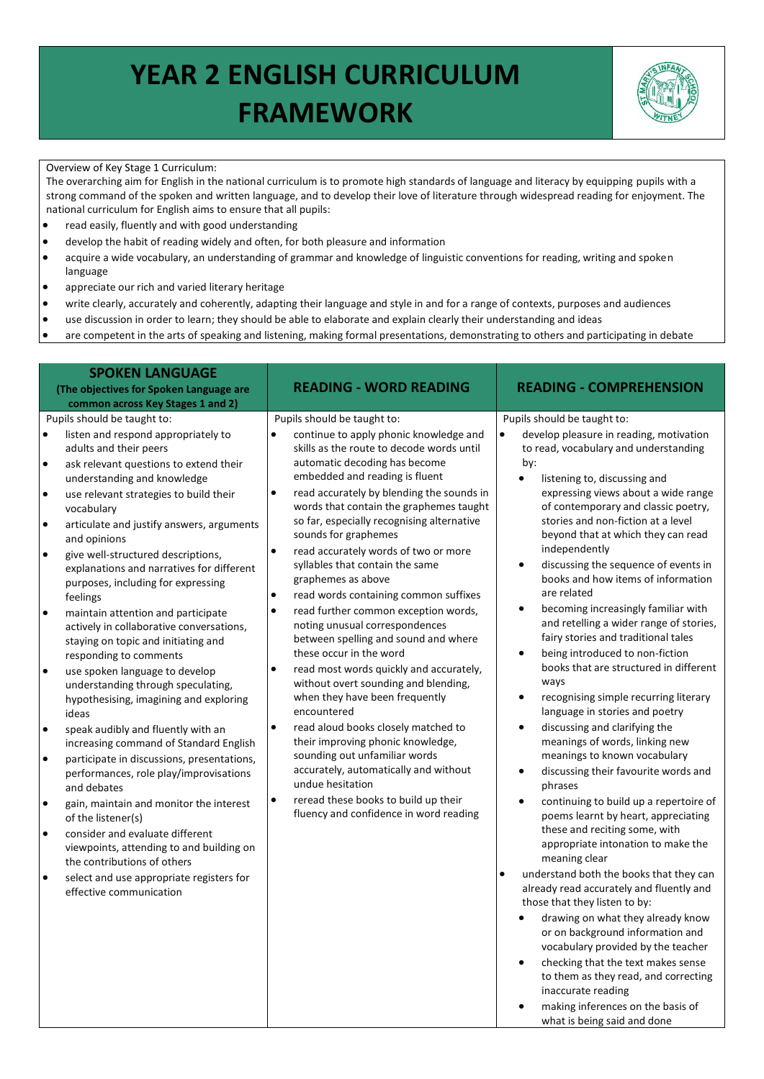## **YEAR 2 ENGLISH CURRICULUM FRAMEWORK**



what is being said and done

## Overview of Key Stage 1 Curriculum:

The overarching aim for English in the national curriculum is to promote high standards of language and literacy by equipping pupils with a strong command of the spoken and written language, and to develop their love of literature through widespread reading for enjoyment. The national curriculum for English aims to ensure that all pupils:

- read easily, fluently and with good understanding
- develop the habit of reading widely and often, for both pleasure and information
- acquire a wide vocabulary, an understanding of grammar and knowledge of linguistic conventions for reading, writing and spoken language
- appreciate our rich and varied literary heritage
- write clearly, accurately and coherently, adapting their language and style in and for a range of contexts, purposes and audiences
- use discussion in order to learn; they should be able to elaborate and explain clearly their understanding and ideas
- are competent in the arts of speaking and listening, making formal presentations, demonstrating to others and participating in debate

|                                                                            | <b>SPOKEN LANGUAGE</b><br>(The objectives for Spoken Language are<br>common across Key Stages 1 and 2)                                                                                                                                                                                                                                                                                                                                                                |                                                               | <b>READING - WORD READING</b>                                                                                                                                                                                                                                                                                                                                                                                                                                                                                                         |           | <b>READING - COMPREHENSION</b>                                                                                                                                                                                                                                                                                                                                                                                                                                                                               |
|----------------------------------------------------------------------------|-----------------------------------------------------------------------------------------------------------------------------------------------------------------------------------------------------------------------------------------------------------------------------------------------------------------------------------------------------------------------------------------------------------------------------------------------------------------------|---------------------------------------------------------------|---------------------------------------------------------------------------------------------------------------------------------------------------------------------------------------------------------------------------------------------------------------------------------------------------------------------------------------------------------------------------------------------------------------------------------------------------------------------------------------------------------------------------------------|-----------|--------------------------------------------------------------------------------------------------------------------------------------------------------------------------------------------------------------------------------------------------------------------------------------------------------------------------------------------------------------------------------------------------------------------------------------------------------------------------------------------------------------|
| $\bullet$<br>$\bullet$<br>$\bullet$<br>$\bullet$<br>$\bullet$<br>$\bullet$ | Pupils should be taught to:<br>listen and respond appropriately to<br>adults and their peers<br>ask relevant questions to extend their<br>understanding and knowledge<br>use relevant strategies to build their<br>vocabulary<br>articulate and justify answers, arguments<br>and opinions<br>give well-structured descriptions,<br>explanations and narratives for different<br>purposes, including for expressing<br>feelings<br>maintain attention and participate | $\bullet$<br>$\bullet$<br>$\bullet$<br>$\bullet$<br>$\bullet$ | Pupils should be taught to:<br>continue to apply phonic knowledge and<br>skills as the route to decode words until<br>automatic decoding has become<br>embedded and reading is fluent<br>read accurately by blending the sounds in<br>words that contain the graphemes taught<br>so far, especially recognising alternative<br>sounds for graphemes<br>read accurately words of two or more<br>syllables that contain the same<br>graphemes as above<br>read words containing common suffixes<br>read further common exception words, | $\bullet$ | Pupils should be taught to:<br>develop pleasure in reading, motivation<br>to read, vocabulary and understanding<br>by:<br>$\bullet$<br>listening to, discussing and<br>expressing views about a wide range<br>of contemporary and classic poetry,<br>stories and non-fiction at a level<br>beyond that at which they can read<br>independently<br>discussing the sequence of events in<br>$\bullet$<br>books and how items of information<br>are related<br>becoming increasingly familiar with<br>$\bullet$ |
| $\bullet$                                                                  | actively in collaborative conversations,<br>staying on topic and initiating and<br>responding to comments<br>use spoken language to develop<br>understanding through speculating,<br>hypothesising, imagining and exploring<br>ideas                                                                                                                                                                                                                                  | $\bullet$                                                     | noting unusual correspondences<br>between spelling and sound and where<br>these occur in the word<br>read most words quickly and accurately,<br>without overt sounding and blending,<br>when they have been frequently<br>encountered                                                                                                                                                                                                                                                                                                 |           | and retelling a wider range of stories,<br>fairy stories and traditional tales<br>being introduced to non-fiction<br>$\bullet$<br>books that are structured in different<br>ways<br>recognising simple recurring literary<br>$\bullet$<br>language in stories and poetry                                                                                                                                                                                                                                     |
| $\bullet$<br>$\bullet$                                                     | speak audibly and fluently with an<br>increasing command of Standard English<br>participate in discussions, presentations,<br>performances, role play/improvisations                                                                                                                                                                                                                                                                                                  | $\bullet$                                                     | read aloud books closely matched to<br>their improving phonic knowledge,<br>sounding out unfamiliar words<br>accurately, automatically and without<br>undue hesitation                                                                                                                                                                                                                                                                                                                                                                |           | discussing and clarifying the<br>$\bullet$<br>meanings of words, linking new<br>meanings to known vocabulary<br>discussing their favourite words and<br>$\bullet$                                                                                                                                                                                                                                                                                                                                            |
| $\bullet$<br>$\bullet$                                                     | and debates<br>gain, maintain and monitor the interest<br>of the listener(s)<br>consider and evaluate different<br>viewpoints, attending to and building on<br>the contributions of others                                                                                                                                                                                                                                                                            | $\bullet$                                                     | reread these books to build up their<br>fluency and confidence in word reading                                                                                                                                                                                                                                                                                                                                                                                                                                                        |           | phrases<br>continuing to build up a repertoire of<br>$\bullet$<br>poems learnt by heart, appreciating<br>these and reciting some, with<br>appropriate intonation to make the<br>meaning clear                                                                                                                                                                                                                                                                                                                |
| $\bullet$                                                                  | select and use appropriate registers for<br>effective communication                                                                                                                                                                                                                                                                                                                                                                                                   |                                                               |                                                                                                                                                                                                                                                                                                                                                                                                                                                                                                                                       |           | understand both the books that they can<br>already read accurately and fluently and<br>those that they listen to by:<br>drawing on what they already know<br>or on background information and<br>vocabulary provided by the teacher<br>checking that the text makes sense<br>to them as they read, and correcting<br>inaccurate reading<br>making inferences on the basis of                                                                                                                                 |